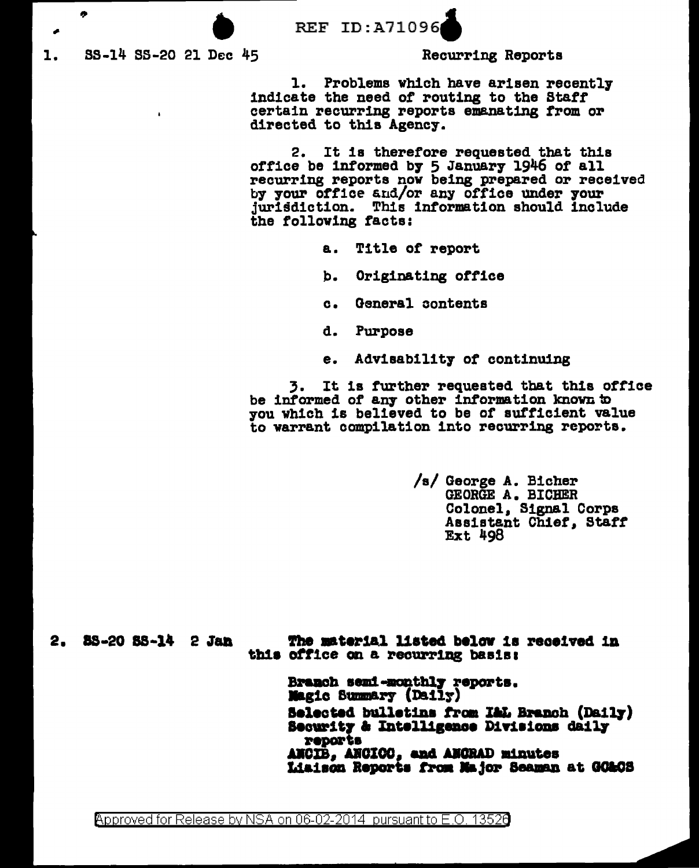**REF ID:A71096** 

SS-14 SS-20 21 Dec 45 1.

 $\mathbf{r}$ 

ø

Recurring Reports

1. Problems which have arisen recently indicate the need of routing to the Staff certain recurring reports emanating from or directed to this Agency.

2. It is therefore requested that this office be informed by 5 January 1946 of all<br>recurring reports now being prepared or received by your office and/or any office under your jurisdiction. This information should include the following facts:

- a. Title of report
- Originating office b.
- General contents  $\mathbf{c}$ .
- Purpose d.
- Advisability of continuing e.

3. It is further requested that this office be informed of any other information known to you which is believed to be of sufficient value to warrant compilation into recurring reports.

> /s/ George A. Bicher GEORGE A. BICHER Colonel, Signal Corps Assistant Chief, Staff **Ext 498**

2. 88-20 88-14 2 Jan

The material listed below is received in this office on a recurring basis:

Branch semi-monthly reports. **Magic Summary (Daily)** Selected bulletins from I&L Branch (Daily) Security & Intelligence Divisions daily reports ANCIB, ANCICO, and ANCRAD minutes Liaison Reports from Major Seaman at GO&CS